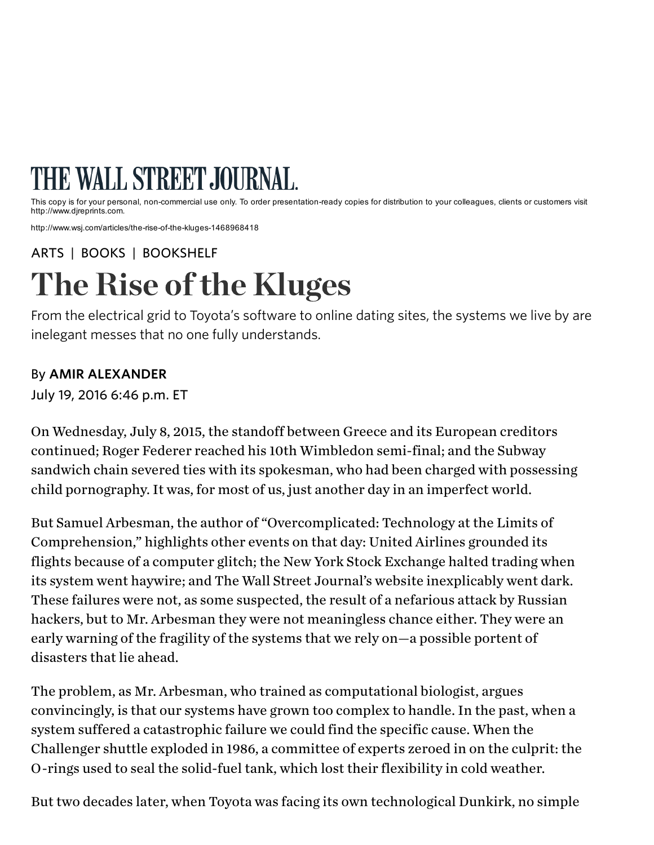## THE WALL STREET JOURNAL.

This copy is for your personal, non-commercial use only. To order presentation-ready copies for distribution to your colleagues, clients or customers visit http://www.djreprints.com.

http://www.wsj.com/articles/the-rise-of-the-kluges-1468968418

[ARTS](http://www.wsj.com/news/arts) | [BOOKS](http://www.wsj.com/public/page/news-books-best-sellers.html) | [BOOKSHELF](http://www.wsj.com/news/types/bookshelf)

From the electrical grid to Toyota's software to online dating sites, the systems we live by are inelegant messes that no one fully understands.

## By AMIR ALEXANDER

July 19, 2016 6:46 p.m. ET

On Wednesday, July 8, 2015, the standoff between Greece and its European creditors continued; Roger [Federer](http://topics.wsj.com/person/F/Roger-Federer/4353) reached his 10th Wimbledon semi-final; and the Subway sandwich chain severed ties with its spokesman, who had been charged with possessing child pornography. It was, for most of us, just another day in an imperfect world. From the electrical grid to Toyota's software to online<br>inelegant messes that no one fully understands.<br>By **AMIR ALEXANDER**<br>July 19, 2016 6:46 p.m. ET<br>On Wednesday, July 8, 2015, the standoff between Gr<br>continued; Roger Fe

But Samuel Arbesman, the author of "Overcomplicated: Technology at the Limits of Comprehension," highlights other events on that day: United Airlines grounded its flights because of a computer glitch; the New York Stock Exchange halted trading when its system went haywire; and The Wall Street Journal's website inexplicably went dark. These failures were not, as some suspected, the result of a nefarious attack by Russian hackers, but to Mr. Arbesman they were not meaningless chance either. They were an early warning of the fragility of the systems that we rely on—a possible portent of disasters that lie ahead.

The problem, as Mr. Arbesman, who trained as computational biologist, argues convincingly, is that our systems have grown too complex to handle. In the past, when a system suffered a catastrophic failure we could find the specific cause. When the Challenger shuttle exploded in 1986, a committee of experts zeroed in on the culprit: the O-rings used to seal the solid-fuel tank, which lost their flexibility in cold weather.

But two decades later, when Toyota was facing its own technological Dunkirk, no simple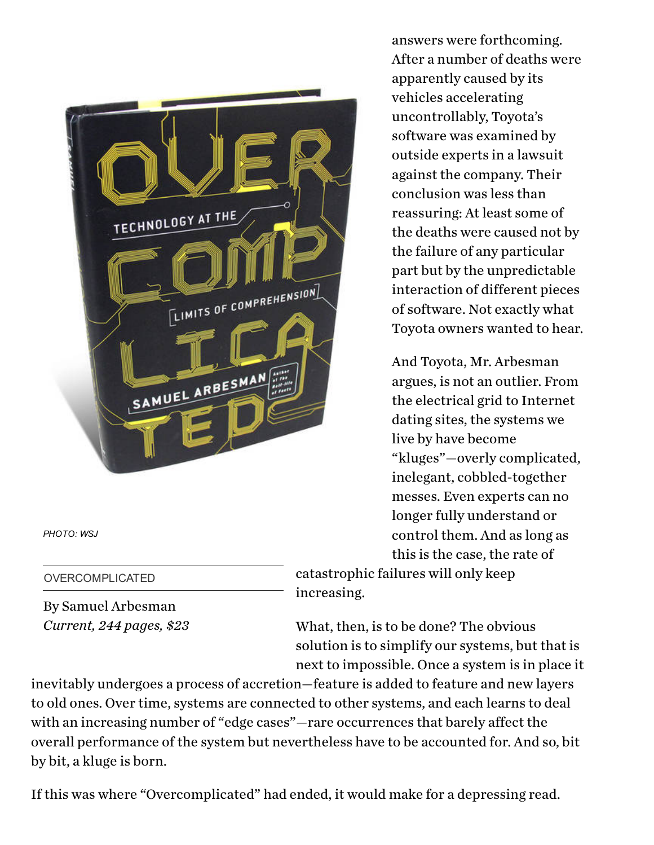

*PHOTO: WSJ*

OVERCOMPLICATED

By Samuel Arbesman Current, 244 pages, \$23

answers were forthcoming. After a number of deaths were apparently caused by its vehicles accelerating uncontrollably, Toyota's software was examined by outside experts in a lawsuit against the company. Their conclusion was less than reassuring: At least some of the deaths were caused not by the failure of any particular part but by the unpredictable interaction of different pieces of software. Not exactly what Toyota owners wanted to hear.

And Toyota, Mr. Arbesman argues, is not an outlier. From the electrical grid to Internet dating sites, the systems we live by have become "kluges"—overly complicated, inelegant, cobbled-together messes. Even experts can no longer fully understand or control them. And as long as this is the case, the rate of

catastrophic failures will only keep increasing.

What, then, is to be done? The obvious solution is to simplify our systems, but that is next to impossible. Once a system is in place it

inevitably undergoes a process of accretion—feature is added to feature and new layers to old ones. Over time, systems are connected to other systems, and each learns to deal with an increasing number of "edge cases"—rare occurrences that barely affect the overall performance of the system but nevertheless have to be accounted for. And so, bit by bit, a kluge is born.

If this was where "Overcomplicated" had ended, it would make for a depressing read.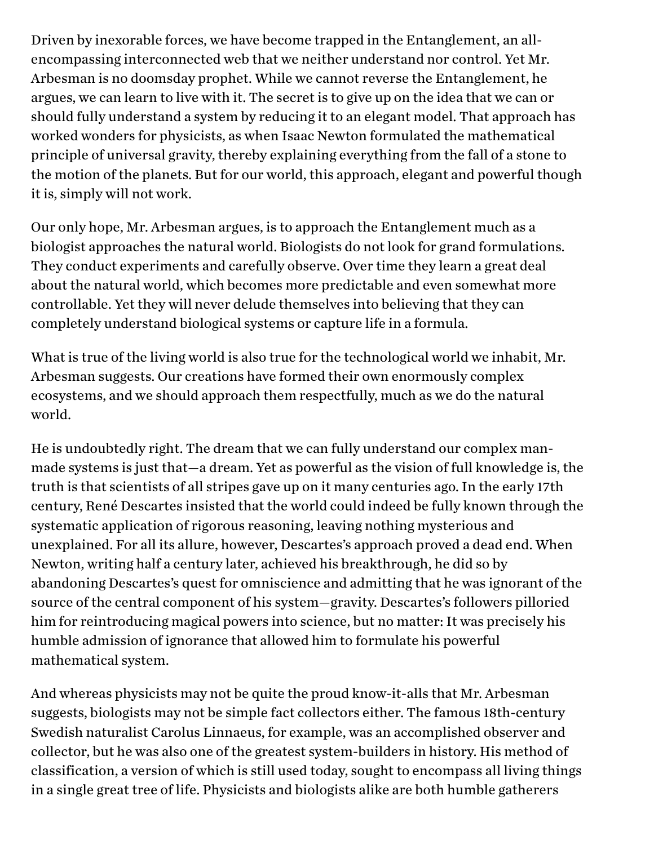Driven by inexorable forces, we have become trapped in the Entanglement, an allencompassing interconnected web that we neither understand nor control. Yet Mr. Arbesman is no doomsday prophet. While we cannot reverse the Entanglement, he argues, we can learn to live with it. The secret is to give up on the idea that we can or should fully understand a system by reducing it to an elegant model. That approach has worked wonders for physicists, as when Isaac Newton formulated the mathematical principle of universal gravity, thereby explaining everything from the fall of a stone to the motion of the planets. But for our world, this approach, elegant and powerful though it is, simply will not work.

Our only hope, Mr. Arbesman argues, is to approach the Entanglement much as a biologist approaches the natural world. Biologists do not look for grand formulations. They conduct experiments and carefully observe. Over time they learn a great deal about the natural world, which becomes more predictable and even somewhat more controllable. Yet they will never delude themselves into believing that they can completely understand biological systems or capture life in a formula.

What is true of the living world is also true for the technological world we inhabit, Mr. Arbesman suggests. Our creations have formed their own enormously complex ecosystems, and we should approach them respectfully, much as we do the natural world.

He is undoubtedly right. The dream that we can fully understand our complex manmade systems is just that—a dream. Yet as powerful as the vision of full knowledge is, the truth is that scientists of all stripes gave up on it many centuries ago. In the early 17th century, René Descartes insisted that the world could indeed be fully known through the systematic application of rigorous reasoning, leaving nothing mysterious and unexplained. For all its allure, however, Descartes's approach proved a dead end. When Newton, writing half a century later, achieved his breakthrough, he did so by abandoning Descartes's quest for omniscience and admitting that he was ignorant of the source of the central component of his system—gravity. Descartes's followers pilloried him for reintroducing magical powers into science, but no matter: It was precisely his humble admission of ignorance that allowed him to formulate his powerful mathematical system.

And whereas physicists may not be quite the proud know-it-alls that Mr. Arbesman suggests, biologists may not be simple fact collectors either. The famous 18th-century Swedish naturalist Carolus Linnaeus, for example, was an accomplished observer and collector, but he was also one of the greatest system-builders in history. His method of classification, a version of which is still used today, sought to encompass all living things in a single great tree of life. Physicists and biologists alike are both humble gatherers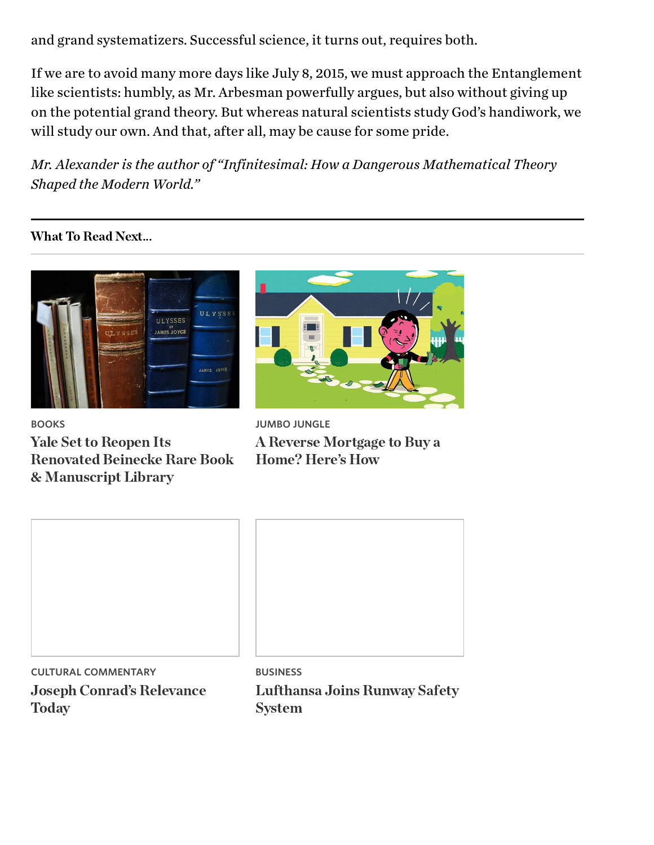and grand systematizers. Successful science, it turns out, requires both.

If we are to avoid many more days like July 8, 2015, we must approach the Entanglement like scientists: humbly, as Mr. Arbesman powerfully argues, but also without giving up on the potential grand theory. But whereas natural scientists study God's handiwork, we will study our own. And that, after all, may be cause for some pride.

Mr. Alexander is the author of "Infinitesimal: How a Dangerous Mathematical Theory Shaped the Modern World."

**What To Read Next...** 



BOOKS

Renovated Beinecke F<br>& Manuscript Library<br>————————————————————



JUMBO [JUNGLE](http://api.cxense.com/public/widget/click/wdbABvnlqJ99xY8vLTF-S3L4d0UfFWv0DPq4UV8ZJlJ9IvfNVx5ftCA0riGs_Pbp-Yk6CptydqB0l-cWt3I93R6Av53vklzEPHeWh282mJpC7FBGVr87tQlls1gMphqiQkpS4k8T_S6rAJZ17ZExNKPXVvV05zK6rUf-a9e8jpD8SGrmBYco7nEdKthyCBQ0j4FFBo5SkSJOP5dqgB2nDSAEhM_L26O3mOwkQ3tnRcIzZqgKnxHO3PtBG1ecboBFl3p0cRRE2N_oHgTWohtsKcUANTV8KAczdTVF_TtMoElgCaTSGtMDFTp3ogpHhYfNvtU8lNniarGvbom66q_W_Ue95dEEGm29aQar4nU8GLFLlh2-y3jftZsaHDDlZilYVNQ7h8oVnLEn1u22psdSTFTM84pzyvUmIWiDL4-iOQRyQzJG6oS8pTobz7X5CdcHWYQ4EG0AKQhVEei1uPw_26GQonpxS79zXARZDzDx58w9BnjQPA1YoZdCIlBDJTEIwraUolh-Uee7qi67KCLhhrLiY-utcTHRn-lVvoPbJ_QNvDz62QzZ9wFMAO1unUjZrp0k0cSvUTFTMbse6JbztKHE6ZBfEoXl7R307l44PUrrmRNVm5OQKHqzx8PSRIq8AbHLfUnLNrf8Qrt4j57MbytMMo6_QgqQdyoyk8BEEiI0?cx_navSource=cx_picks&cx_tag=poptarget&cx_artPos=2)

| Renovated Beinecke Rare Book Home? Here's How<br>& Manuscript Library | $\sigma$ $\sigma$<br>$\bullet$ |
|-----------------------------------------------------------------------|--------------------------------|
|                                                                       |                                |
|                                                                       |                                |
|                                                                       |                                |
| <b>CULTURAL COMMENTARY</b>                                            | <b>BUSINESS</b>                |

CULTURAL COMMENTARY Joseph Conrad['](http://api.cxense.com/public/widget/click/eIY-cjbaaOdmQR04iVr5AcxwfJ6w8OIwWUmwokRbHQAWqEYcrhra0u0sm9tr8icaUOLy7WwWCHlLMOMiI1bGmF-gign_Pe6K-9i2qeb59lmEyMRI1hSabuygJ0wJGh7czE7rVbmI2TvyOn4wAMs0WawMiG2ehVDvR3cc29w9TWkWv_AtZHfbQcTcnGRoEFm1c0HOusEYqwI2zdE8jQ8lGu2_iElv3qoTnwgMo5X44Hfs2vVhG9zntigqhou9JL59AhFZbVhVr_DlcjcpQTO1w-gZ5cBSN0gim1xRCmf1WkzQtxy9lVlZvL5djZqI2BMfbKSu1pEs8_ppJ1t5Jibb8AObnK89-3pQOXdWGjicDXKnTQYZ2PkWW6KlZUyif7Hq9FS0O6dj0_R121CaXz_1fecWlmAwZ1N0zGWDVRJm3vPnG6wUExUk8OuzrSdU77EqW_mpTXN75kXa2hp4rfO4Zf7uvNbmHAshTkrQW5XMr8OJZlB1kGaeq32hdl0LoFOmKLnxP2EL1IE_RFAh6klcMxbossHIi1YhIU7yCqllhYjShGK06GQ2y3fPwZFAAW339ZaBJb2IjmpvFI1xsAcTCSNKm7aJctDS1vF7sNa1S0eeZaCm42O0VpuMyVc3o8MgRAKidhLZjV0iqRJ7gCHxtCoV16e3Ijs30?cx_navSource=cx_picks&cx_tag=collabctx&cx_artPos=3)s Relevance  $\overline{a}$ 

Lucianus Company<br>System System